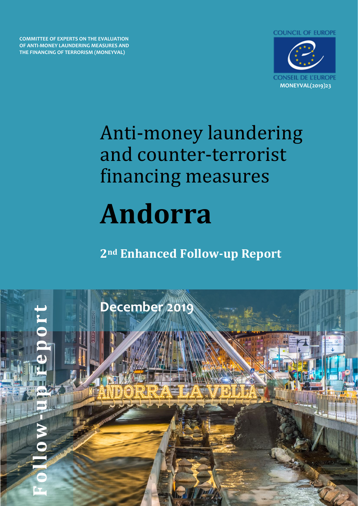**COUNCIL OF EUROPE** 

**COMMITTEE OF EXPERTS ON THE EVALUATION OF ANTI-MONEY LAUNDERING MEASURES AND THE FINANCING OF TERRORISM (MONEYVAL)**



# Anti-money laundering and counter-terrorist financing measures **Andorra**

**2nd Enhanced Follow-up Report** 

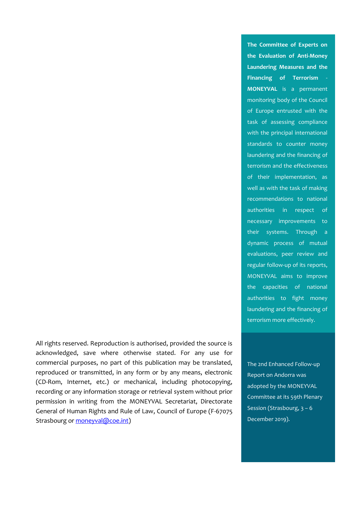All rights reserved. Reproduction is authorised, provided the source is acknowledged, save where otherwise stated. For any use for commercial purposes, no part of this publication may be translated, reproduced or transmitted, in any form or by any means, electronic (CD-Rom, Internet, etc.) or mechanical, including photocopying, recording or any information storage or retrieval system without prior permission in writing from the MONEYVAL Secretariat, Directorate General of Human Rights and Rule of Law, Council of Europe (F-67075 Strasbourg or [moneyval@coe.int\)](mailto:moneyval@coe.int)

**The Committee of Experts on the Evaluation of Anti-Money Laundering Measures and the Financing of Terrorism** - **MONEYVAL** is a permanent monitoring body of the Council of Europe entrusted with the task of assessing compliance with the principal international standards to counter money laundering and the financing of terrorism and the effectiveness of their implementation, as well as with the task of making recommendations to national authorities in respect of necessary improvements to their systems. Through a dynamic process of mutual evaluations, peer review and regular follow-up of its reports, MONEYVAL aims to improve the capacities of national authorities to fight money laundering and the financing of terrorism more effectively.

The 2nd Enhanced Follow-up Report on Andorra was adopted by the MONEYVAL Committee at its 59th Plenary Session (Strasbourg, 3 – 6 December 2019).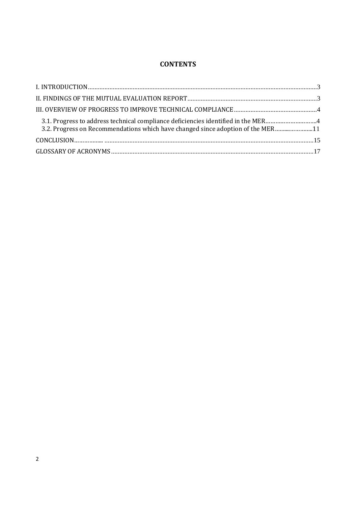## **CONTENTS**

| 3.1. Progress to address technical compliance deficiencies identified in the MER4<br>3.2. Progress on Recommendations which have changed since adoption of the MER11 |  |
|----------------------------------------------------------------------------------------------------------------------------------------------------------------------|--|
|                                                                                                                                                                      |  |
|                                                                                                                                                                      |  |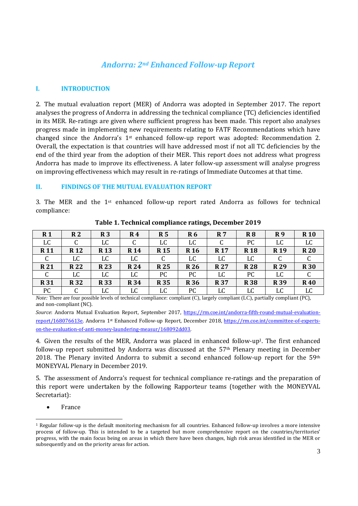# *Andorra: 2nd Enhanced Follow-up Report*

#### <span id="page-3-0"></span>**I. INTRODUCTION**

2. The mutual evaluation report (MER) of Andorra was adopted in September 2017. The report analyses the progress of Andorra in addressing the technical compliance (TC) deficiencies identified in its MER. Re-ratings are given where sufficient progress has been made. This report also analyses progress made in implementing new requirements relating to FATF Recommendations which have changed since the Andorra's 1st enhanced follow-up report was adopted: Recommendation 2. Overall, the expectation is that countries will have addressed most if not all TC deficiencies by the end of the third year from the adoption of their MER. This report does not address what progress Andorra has made to improve its effectiveness. A later follow-up assessment will analyse progress on improving effectiveness which may result in re-ratings of Immediate Outcomes at that time.

#### **II. FINDINGS OF THE MUTUAL EVALUATION REPORT**

3. The MER and the  $1<sup>st</sup>$  enhanced follow-up report rated Andorra as follows for technical compliance:

| R <sub>1</sub> | R <sub>2</sub> | R <sub>3</sub> | R4         | R <sub>5</sub> | R <sub>6</sub> | <b>R</b> 7      | R <sub>8</sub> | R9         | <b>R10</b> |
|----------------|----------------|----------------|------------|----------------|----------------|-----------------|----------------|------------|------------|
| LC             |                | LC             |            | LC             | LC             |                 | PC             | LC         | LC         |
| <b>R11</b>     | <b>R12</b>     | <b>R13</b>     | <b>R14</b> | <b>R15</b>     | <b>R</b> 16    | R <sub>17</sub> | <b>R18</b>     | <b>R19</b> | <b>R20</b> |
| C              | LC             | LC             | LC         |                | LC             | LC              | LC             |            |            |
| <b>R21</b>     | <b>R22</b>     | <b>R23</b>     | <b>R24</b> | <b>R25</b>     | <b>R26</b>     | <b>R27</b>      | <b>R28</b>     | <b>R29</b> | <b>R30</b> |
| C              | LC             | LC             | LC         | PC             | PC             | LC              | PC             | LC         |            |
| <b>R31</b>     | <b>R32</b>     | <b>R33</b>     | <b>R34</b> | <b>R35</b>     | <b>R36</b>     | <b>R37</b>      | <b>R38</b>     | <b>R39</b> | <b>R40</b> |
| PC             |                | LC             | LC         | LC             | PC             | LC              | LC             | LC         | LC         |

**Table 1. Technical compliance ratings, December 2019**

*Note:* There are four possible levels of technical compliance: compliant (C), largely compliant (LC), partially compliant (PC), and non-compliant (NC).

*Source*: Andorra Mutual Evaluation Report, September 2017, [https://rm.coe.int/andorra-fifth-round-mutual-evaluation](https://rm.coe.int/andorra-fifth-round-mutual-evaluation-report/168076613e)[report/168076613e.](https://rm.coe.int/andorra-fifth-round-mutual-evaluation-report/168076613e) Andorra 1st Enhanced Follow-up Report, December 2018, [https://rm.coe.int/committee-of-experts](https://rm.coe.int/committee-of-experts-on-the-evaluation-of-anti-money-laundering-measur/168092dd03)[on-the-evaluation-of-anti-money-laundering-measur/168092dd03.](https://rm.coe.int/committee-of-experts-on-the-evaluation-of-anti-money-laundering-measur/168092dd03)

4. Given the results of the MER, Andorra was placed in enhanced follow-up1. The first enhanced follow-up report submitted by Andorra was discussed at the 57th Plenary meeting in December 2018. The Plenary invited Andorra to submit a second enhanced follow-up report for the 59th MONEYVAL Plenary in December 2019.

5. The assessment of Andorra's request for technical compliance re-ratings and the preparation of this report were undertaken by the following Rapporteur teams (together with the MONEYVAL Secretariat):

• France

<sup>1</sup> Regular follow-up is the default monitoring mechanism for all countries. Enhanced follow-up involves a more intensive process of follow-up. This is intended to be a targeted but more comprehensive report on the countries/territories' progress, with the main focus being on areas in which there have been changes, high risk areas identified in the MER or subsequently and on the priority areas for action.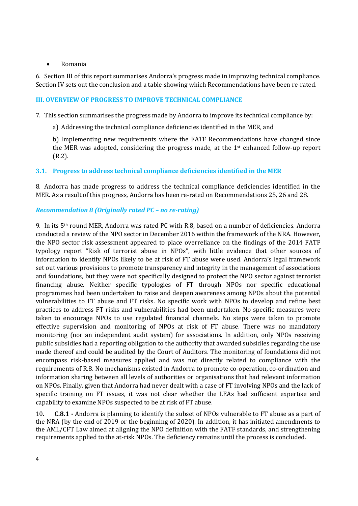#### • Romania

6. Section III of this report summarises Andorra's progress made in improving technical compliance. Section IV sets out the conclusion and a table showing which Recommendations have been re-rated.

#### **III. OVERVIEW OF PROGRESS TO IMPROVE TECHNICAL COMPLIANCE**

7. This section summarises the progress made by Andorra to improve its technical compliance by:

a) Addressing the technical compliance deficiencies identified in the MER, and

b) Implementing new requirements where the FATF Recommendations have changed since the MER was adopted, considering the progress made, at the 1st enhanced follow-up report (R.2).

## **3.1. Progress to address technical compliance deficiencies identified in the MER**

8. Andorra has made progress to address the technical compliance deficiencies identified in the MER. As a result of this progress, Andorra has been re-rated on Recommendations 25, 26 and 28.

#### *Recommendation 8 (Originally rated PC – no re-rating)*

9. In its 5th round MER, Andorra was rated PC with R.8, based on a number of deficiencies. Andorra conducted a review of the NPO sector in December 2016 within the framework of the NRA. However, the NPO sector risk assessment appeared to place overreliance on the findings of the 2014 FATF typology report "Risk of terrorist abuse in NPOs", with little evidence that other sources of information to identify NPOs likely to be at risk of FT abuse were used. Andorra's legal framework set out various provisions to promote transparency and integrity in the management of associations and foundations, but they were not specifically designed to protect the NPO sector against terrorist financing abuse. Neither specific typologies of FT through NPOs nor specific educational programmes had been undertaken to raise and deepen awareness among NPOs about the potential vulnerabilities to FT abuse and FT risks. No specific work with NPOs to develop and refine best practices to address FT risks and vulnerabilities had been undertaken. No specific measures were taken to encourage NPOs to use regulated financial channels. No steps were taken to promote effective supervision and monitoring of NPOs at risk of FT abuse. There was no mandatory monitoring (nor an independent audit system) for associations. In addition, only NPOs receiving public subsidies had a reporting obligation to the authority that awarded subsidies regarding the use made thereof and could be audited by the Court of Auditors. The monitoring of foundations did not encompass risk-based measures applied and was not directly related to compliance with the requirements of R.8. No mechanisms existed in Andorra to promote co-operation, co-ordination and information sharing between all levels of authorities or organisations that had relevant information on NPOs. Finally. given that Andorra had never dealt with a case of FT involving NPOs and the lack of specific training on FT issues, it was not clear whether the LEAs had sufficient expertise and capability to examine NPOs suspected to be at risk of FT abuse.

10. **C.8.1 -** Andorra is planning to identify the subset of NPOs vulnerable to FT abuse as a part of the NRA (by the end of 2019 or the beginning of 2020). In addition, it has initiated amendments to the AML/CFT Law aimed at aligning the NPO definition with the FATF standards, and strengthening requirements applied to the at-risk NPOs. The deficiency remains until the process is concluded.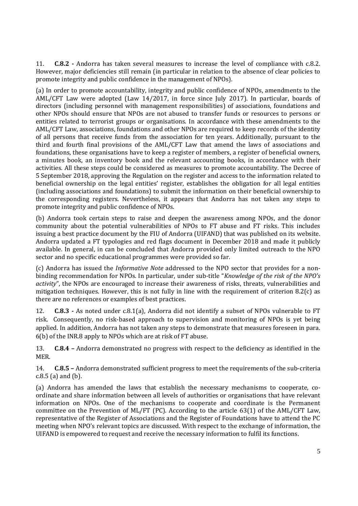11. **C.8.2 -** Andorra has taken several measures to increase the level of compliance with c.8.2. However, major deficiencies still remain (in particular in relation to the absence of clear policies to promote integrity and public confidence in the management of NPOs).

(a) In order to promote accountability, integrity and public confidence of NPOs, amendments to the AML/CFT Law were adopted (Law 14/2017, in force since July 2017). In particular, boards of directors (including personnel with management responsibilities) of associations, foundations and other NPOs should ensure that NPOs are not abused to transfer funds or resources to persons or entities related to terrorist groups or organisations. In accordance with these amendments to the AML/CFT Law, associations, foundations and other NPOs are required to keep records of the identity of all persons that receive funds from the association for ten years. Additionally, pursuant to the third and fourth final provisions of the AML/CFT Law that amend the laws of associations and foundations, these organisations have to keep a register of members, a register of beneficial owners, a minutes book, an inventory book and the relevant accounting books, in accordance with their activities. All these steps could be considered as measures to promote accountability. The Decree of 5 September 2018, approving the Regulation on the register and access to the information related to beneficial ownership on the legal entities' register, establishes the obligation for all legal entities (including associations and foundations) to submit the information on their beneficial ownership to the corresponding registers. Nevertheless, it appears that Andorra has not taken any steps to promote integrity and public confidence of NPOs.

(b) Andorra took certain steps to raise and deepen the awareness among NPOs, and the donor community about the potential vulnerabilities of NPOs to FT abuse and FT risks. This includes issuing a best practice document by the FIU of Andorra (UIFAND) that was published on its website. Andorra updated a FT typologies and red flags document in December 2018 and made it publicly available. In general, in can be concluded that Andorra provided only limited outreach to the NPO sector and no specific educational programmes were provided so far.

(c) Andorra has issued the *Informative Note* addressed to the NPO sector that provides for a nonbinding recommendation for NPOs. In particular, under sub-title "*Knowledge of the risk of the NPO's activity*", the NPOs are encouraged to increase their awareness of risks, threats, vulnerabilities and mitigation techniques. However, this is not fully in line with the requirement of criterion 8.2(c) as there are no references or examples of best practices.

12. **C.8.3 -** As noted under c.8.1(a), Andorra did not identify a subset of NPOs vulnerable to FT risk. Consequently, no risk-based approach to supervision and monitoring of NPOs is yet being applied. In addition, Andorra has not taken any steps to demonstrate that measures foreseen in para. 6(b) of the INR.8 apply to NPOs which are at risk of FT abuse.

13. **C.8.4 –** Andorra demonstrated no progress with respect to the deficiency as identified in the MER.

14. **C.8.5 –** Andorra demonstrated sufficient progress to meet the requirements of the sub-criteria c.8.5 (a) and (b).

(a) Andorra has amended the laws that establish the necessary mechanisms to cooperate, coordinate and share information between all levels of authorities or organisations that have relevant information on NPOs. One of the mechanisms to cooperate and coordinate is the Permanent committee on the Prevention of ML/FT (PC). According to the article 63(1) of the AML/CFT Law, representative of the Register of Associations and the Register of Foundations have to attend the PC meeting when NPO's relevant topics are discussed. With respect to the exchange of information, the UIFAND is empowered to request and receive the necessary information to fulfil its functions.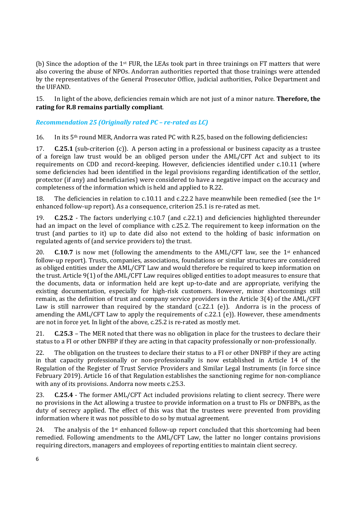(b) Since the adoption of the 1 $st$  FUR, the LEAs took part in three trainings on FT matters that were also covering the abuse of NPOs. Andorran authorities reported that those trainings were attended by the representatives of the General Prosecutor Office, judicial authorities, Police Department and the UIFAND.

15. In light of the above, deficiencies remain which are not just of a minor nature. **Therefore, the rating for R.8 remains partially compliant**.

#### *Recommendation 25 (Originally rated PC – re-rated as LC)*

16. In its 5th round MER, Andorra was rated PC with R.25, based on the following deficiencies**:**

17. **C.25.1** (sub-criterion (c)). A person acting in a professional or business capacity as a trustee of a foreign law trust would be an obliged person under the AML/CFT Act and subject to its requirements on CDD and record-keeping. However, deficiencies identified under c.10.11 (where some deficiencies had been identified in the legal provisions regarding identification of the settlor, protector (if any) and beneficiaries) were considered to have a negative impact on the accuracy and completeness of the information which is held and applied to R.22.

18. The deficiencies in relation to c.10.11 and c.22.2 have meanwhile been remedied (see the  $1<sup>st</sup>$ enhanced follow-up report). As a consequence, criterion 25.1 is re-rated as met.

19. **C.25.2** - The factors underlying c.10.7 (and c.22.1) and deficiencies highlighted thereunder had an impact on the level of compliance with c.25.2. The requirement to keep information on the trust (and parties to it) up to date did also not extend to the holding of basic information on regulated agents of (and service providers to) the trust.

20. **C.10.7** is now met (following the amendments to the AML/CFT law, see the 1<sup>st</sup> enhanced follow-up report). Trusts, companies, associations, foundations or similar structures are considered as obliged entities under the AML/CFT Law and would therefore be required to keep information on the trust. Article 9(1) of the AML/CFT Law requires obliged entities to adopt measures to ensure that the documents, data or information held are kept up-to-date and are appropriate, verifying the existing documentation, especially for high-risk customers. However, minor shortcomings still remain, as the definition of trust and company service providers in the Article 3(4) of the AML/CFT Law is still narrower than required by the standard (c.22.1 (e)). Andorra is in the process of amending the AML/CFT Law to apply the requirements of c.22.1 (e)). However, these amendments are not in force yet. In light of the above, c.25.2 is re-rated as mostly met.

21. **C.25.3** – The MER noted that there was no obligation in place for the trustees to declare their status to a FI or other DNFBP if they are acting in that capacity professionally or non-professionally.

22. The obligation on the trustees to declare their status to a FI or other DNFBP if they are acting in that capacity professionally or non-professionally is now established in Article 14 of the Regulation of the Register of Trust Service Providers and Similar Legal Instruments (in force since February 2019). Article 16 of that Regulation establishes the sanctioning regime for non-compliance with any of its provisions. Andorra now meets c.25.3.

23. **C.25.4** - The former AML/CFT Act included provisions relating to client secrecy. There were no provisions in the Act allowing a trustee to provide information on a trust to FIs or DNFBPs, as the duty of secrecy applied. The effect of this was that the trustees were prevented from providing information where it was not possible to do so by mutual agreement.

24. The analysis of the  $1<sup>st</sup>$  enhanced follow-up report concluded that this shortcoming had been remedied. Following amendments to the AML/CFT Law, the latter no longer contains provisions requiring directors, managers and employees of reporting entities to maintain client secrecy.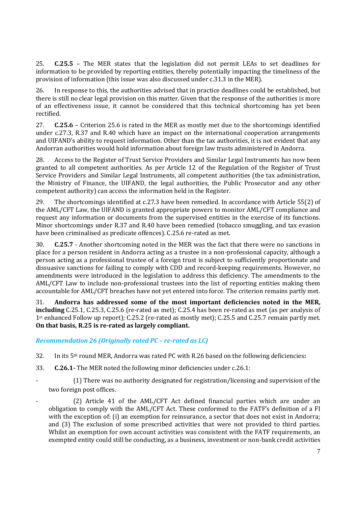25. **C.25.5** – The MER states that the legislation did not permit LEAs to set deadlines for information to be provided by reporting entities, thereby potentially impacting the timeliness of the provision of information (this issue was also discussed under c.31.3 in the MER).

26. In response to this, the authorities advised that in practice deadlines could be established, but there is still no clear legal provision on this matter. Given that the response of the authorities is more of an effectiveness issue, it cannot be considered that this technical shortcoming has yet been rectified.

27. **C.25.6** – Criterion 25.6 is rated in the MER as mostly met due to the shortcomings identified under c.27.3, R.37 and R.40 which have an impact on the international cooperation arrangements and UIFAND's ability to request information. Other than the tax authorities, it is not evident that any Andorran authorities would hold information about foreign law trusts administered in Andorra.

28. Access to the Register of Trust Service Providers and Similar Legal Instruments has now been granted to all competent authorities. As per Article 12 of the Regulation of the Register of Trust Service Providers and Similar Legal Instruments, all competent authorities (the tax administration, the Ministry of Finance, the UIFAND, the legal authorities, the Public Prosecutor and any other competent authority) can access the information held in the Register.

29. The shortcomings identified at c.27.3 have been remedied. In accordance with Article 55(2) of the AML/CFT Law, the UIFAND is granted appropriate powers to monitor AML/CFT compliance and request any information or documents from the supervised entities in the exercise of its functions. Minor shortcomings under R.37 and R.40 have been remedied (tobacco smuggling, and tax evasion have been criminalised as predicate offences). C.25.6 re-rated as met.

30. **C.25.7** - Another shortcoming noted in the MER was the fact that there were no sanctions in place for a person resident in Andorra acting as a trustee in a non-professional capacity, although a person acting as a professional trustee of a foreign trust is subject to sufficiently proportionate and dissuasive sanctions for failing to comply with CDD and record-keeping requirements. However, no amendments were introduced in the legislation to address this deficiency. The amendments to the AML/CFT Law to include non-professional trustees into the list of reporting entities making them accountable for AML/CFT breaches have not yet entered into force. The criterion remains partly met.

31. **Andorra has addressed some of the most important deficiencies noted in the MER, including** C.25.1, C.25.3, C.25.6 (re-rated as met); C.25.4 has been re-rated as met (as per analysis of 1st enhanced Follow up report); C.25.2 (re-rated as mostly met); C.25.5 and C.25.7 remain partly met. **On that basis, R.25 is re-rated as largely compliant.**

## *Recommendation 26 (Originally rated PC – re-rated as LC)*

32. In its 5th round MER, Andorra was rated PC with R.26 based on the following deficiencies**:**

- 33. **C.26.1-** The MER noted the following minor deficiencies under c.26.1:
- (1) There was no authority designated for registration/licensing and supervision of the two foreign post offices.
- $(2)$  Article 41 of the AML/CFT Act defined financial parties which are under an obligation to comply with the AML/CFT Act. These conformed to the FATF's definition of a FI with the exception of: (i) an exemption for reinsurance, a sector that does not exist in Andorra; and (3) The exclusion of some prescribed activities that were not provided to third parties. Whilst an exemption for own account activities was consistent with the FATF requirements, an exempted entity could still be conducting, as a business, investment or non-bank credit activities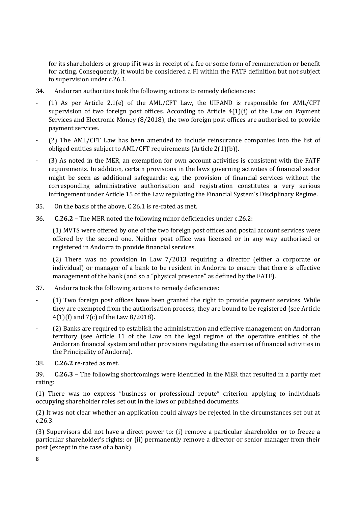for its shareholders or group if it was in receipt of a fee or some form of remuneration or benefit for acting. Consequently, it would be considered a FI within the FATF definition but not subject to supervision under c.26.1.

- 34. Andorran authorities took the following actions to remedy deficiencies:
- (1) As per Article 2.1(e) of the AML/CFT Law, the UIFAND is responsible for AML/CFT supervision of two foreign post offices. According to Article  $4(1)(f)$  of the Law on Payment Services and Electronic Money (8/2018), the two foreign post offices are authorised to provide payment services.
- (2) The AML/CFT Law has been amended to include reinsurance companies into the list of obliged entities subject to AML/CFT requirements (Article 2(1)(b)).
- (3) As noted in the MER, an exemption for own account activities is consistent with the FATF requirements. In addition, certain provisions in the laws governing activities of financial sector might be seen as additional safeguards: e.g. the provision of financial services without the corresponding administrative authorisation and registration constitutes a very serious infringement under Article 15 of the Law regulating the Financial System's Disciplinary Regime.
- 35. On the basis of the above, C.26.1 is re-rated as met.
- 36. **C.26.2 –** The MER noted the following minor deficiencies under c.26.2:

(1) MVTS were offered by one of the two foreign post offices and postal account services were offered by the second one. Neither post office was licensed or in any way authorised or registered in Andorra to provide financial services.

(2) There was no provision in Law 7/2013 requiring a director (either a corporate or individual) or manager of a bank to be resident in Andorra to ensure that there is effective management of the bank (and so a "physical presence" as defined by the FATF).

- 37. Andorra took the following actions to remedy deficiencies:
- (1) Two foreign post offices have been granted the right to provide payment services. While they are exempted from the authorisation process, they are bound to be registered (see Article 4(1)(f) and 7(c) of the Law 8/2018).
- (2) Banks are required to establish the administration and effective management on Andorran territory (see Article 11 of the Law on the legal regime of the operative entities of the Andorran financial system and other provisions regulating the exercise of financial activities in the Principality of Andorra).
- 38. **C.26.2** re-rated as met.

39. **C.26.3** – The following shortcomings were identified in the MER that resulted in a partly met rating:

(1) There was no express "business or professional repute" criterion applying to individuals occupying shareholder roles set out in the laws or published documents.

(2) It was not clear whether an application could always be rejected in the circumstances set out at c.26.3.

(3) Supervisors did not have a direct power to: (i) remove a particular shareholder or to freeze a particular shareholder's rights; or (ii) permanently remove a director or senior manager from their post (except in the case of a bank).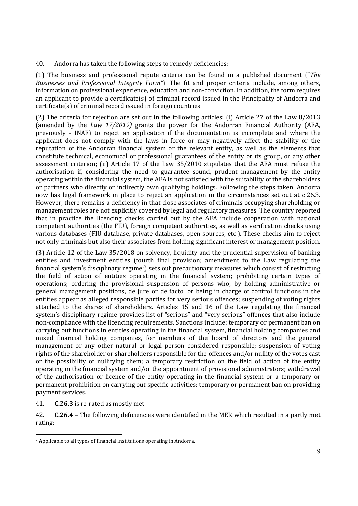40. Andorra has taken the following steps to remedy deficiencies:

(1) The business and professional repute criteria can be found in a published document ("*The Businesses and Professional Integrity Form"*). The fit and proper criteria include, among others, information on professional experience, education and non-conviction. In addition, the form requires an applicant to provide a certificate(s) of criminal record issued in the Principality of Andorra and certificate(s) of criminal record issued in foreign countries.

(2) The criteria for rejection are set out in the following articles: (i) Article 27 of the Law 8/2013 (amended by the *Law 17/2019)* grants the power for the Andorran Financial Authority (AFA, previously - INAF) to reject an application if the documentation is incomplete and where the applicant does not comply with the laws in force or may negatively affect the stability or the reputation of the Andorran financial system or the relevant entity, as well as the elements that constitute technical, economical or professional guarantees of the entity or its group, or any other assessment criterion; (ii) Article 17 of the Law 35/2010 stipulates that the AFA must refuse the authorisation if, considering the need to guarantee sound, prudent management by the entity operating within the financial system, the AFA is not satisfied with the suitability of the shareholders or partners who directly or indirectly own qualifying holdings. Following the steps taken, Andorra now has legal framework in place to reject an application in the circumstances set out at c.26.3. However, there remains a deficiency in that close associates of criminals occupying shareholding or management roles are not explicitly covered by legal and regulatory measures. The country reported that in practice the licencing checks carried out by the AFA include cooperation with national competent authorities (the FIU), foreign competent authorities, as well as verification checks using various databases (FIU database, private databases, open sources, etc.). These checks aim to reject not only criminals but also their associates from holding significant interest or management position.

(3) Article 12 of the Law 35/2018 on solvency, liquidity and the prudential supervision of banking entities and investment entities (fourth final provision; amendment to the Law regulating the financial system's disciplinary regime<sup>2</sup>) sets out precautionary measures which consist of restricting the field of action of entities operating in the financial system; prohibiting certain types of operations; ordering the provisional suspension of persons who, by holding administrative or general management positions, de jure or de facto, or being in charge of control functions in the entities appear as alleged responsible parties for very serious offences; suspending of voting rights attached to the shares of shareholders. Articles 15 and 16 of the Law regulating the financial system's disciplinary regime provides list of "serious" and "very serious" offences that also include non-compliance with the licencing requirements. Sanctions include: temporary or permanent ban on carrying out functions in entities operating in the financial system, financial holding companies and mixed financial holding companies, for members of the board of directors and the general management or any other natural or legal person considered responsible; suspension of voting rights of the shareholder or shareholders responsible for the offences and/or nullity of the votes cast or the possibility of nullifying them; a temporary restriction on the field of action of the entity operating in the financial system and/or the appointment of provisional administrators; withdrawal of the authorisation or licence of the entity operating in the financial system or a temporary or permanent prohibition on carrying out specific activities; temporary or permanent ban on providing payment services.

41. **C.26.3** is re-rated as mostly met.

42. **C.26.4** – The following deficiencies were identified in the MER which resulted in a partly met rating:

<sup>2</sup> Applicable to all types of financial institutions operating in Andorra.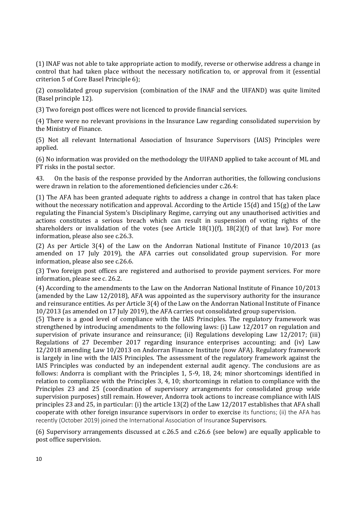(1) INAF was not able to take appropriate action to modify, reverse or otherwise address a change in control that had taken place without the necessary notification to, or approval from it (essential criterion 5 of Core Basel Principle 6);

(2) consolidated group supervision (combination of the INAF and the UIFAND) was quite limited (Basel principle 12).

(3) Two foreign post offices were not licenced to provide financial services.

(4) There were no relevant provisions in the Insurance Law regarding consolidated supervision by the Ministry of Finance.

(5) Not all relevant International Association of Insurance Supervisors (IAIS) Principles were applied.

(6) No information was provided on the methodology the UIFAND applied to take account of ML and FT risks in the postal sector.

43. On the basis of the response provided by the Andorran authorities, the following conclusions were drawn in relation to the aforementioned deficiencies under c.26.4:

(1) The AFA has been granted adequate rights to address a change in control that has taken place without the necessary notification and approval. According to the Article 15(d) and 15(g) of the Law regulating the Financial System's Disciplinary Regime, carrying out any unauthorised activities and actions constitutes a serious breach which can result in suspension of voting rights of the shareholders or invalidation of the votes (see Article 18(1)(f), 18(2)(f) of that law). For more information, please also see c.26.3.

(2) As per Article 3(4) of the Law on the Andorran National Institute of Finance 10/2013 (as amended on 17 July 2019), the AFA carries out consolidated group supervision. For more information, please also see c.26.6.

(3) Two foreign post offices are registered and authorised to provide payment services. For more information, please see c. 26.2.

(4) According to the amendments to the Law on the Andorran National Institute of Finance 10/2013 (amended by the Law 12/2018), AFA was appointed as the supervisory authority for the insurance and reinsurance entities. As per Article 3(4) of the Law on the Andorran National Institute of Finance 10/2013 (as amended on 17 July 2019), the AFA carries out consolidated group supervision.

(5) There is a good level of compliance with the IAIS Principles. The regulatory framework was strengthened by introducing amendments to the following laws: (i) Law 12/2017 on regulation and supervision of private insurance and reinsurance; (ii) Regulations developing Law 12/2017; (iii) Regulations of 27 December 2017 regarding insurance enterprises accounting; and (iv) Law 12/2018 amending Law 10/2013 on Andorran Finance Institute (now AFA). Regulatory framework is largely in line with the IAIS Principles. The assessment of the regulatory framework against the IAIS Principles was conducted by an independent external audit agency. The conclusions are as follows: Andorra is compliant with the Principles 1, 5-9, 18, 24; minor shortcomings identified in relation to compliance with the Principles 3, 4, 10; shortcomings in relation to compliance with the Principles 23 and 25 (coordination of supervisory arrangements for consolidated group wide supervision purposes) still remain. However, Andorra took actions to increase compliance with IAIS principles 23 and 25, in particular: (i) the article 13(2) of the Law 12/2017 establishes that AFA shall cooperate with other foreign insurance supervisors in order to exercise its functions; (ii) the AFA has recently (October 2019) joined the International Association of Insurance Supervisors.

(6) Supervisory arrangements discussed at c.26.5 and c.26.6 (see below) are equally applicable to post office supervision.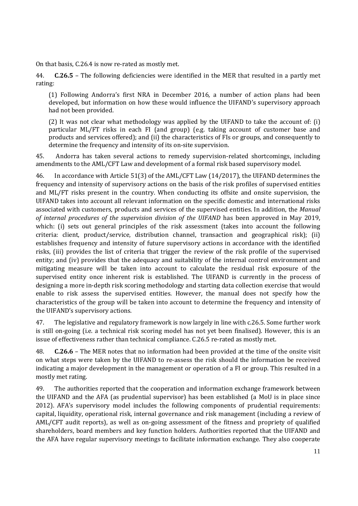On that basis, C.26.4 is now re-rated as mostly met.

44. **C.26.5** – The following deficiencies were identified in the MER that resulted in a partly met rating:

(1) Following Andorra's first NRA in December 2016, a number of action plans had been developed, but information on how these would influence the UIFAND's supervisory approach had not been provided.

(2) It was not clear what methodology was applied by the UIFAND to take the account of: (i) particular ML/FT risks in each FI (and group) (e.g. taking account of customer base and products and services offered); and (ii) the characteristics of FIs or groups, and consequently to determine the frequency and intensity of its on-site supervision.

45. Andorra has taken several actions to remedy supervision-related shortcomings, including amendments to the AML/CFT Law and development of a formal risk based supervisory model.

46. In accordance with Article 51(3) of the AML/CFT Law (14/2017), the UIFAND determines the frequency and intensity of supervisory actions on the basis of the risk profiles of supervised entities and ML/FT risks present in the country. When conducting its offsite and onsite supervision, the UIFAND takes into account all relevant information on the specific domestic and international risks associated with customers, products and services of the supervised entities. In addition, the *Manual of internal procedures of the supervision division of the UIFAND* has been approved in May 2019, which: (i) sets out general principles of the risk assessment (takes into account the following criteria: client, product/service, distribution channel, transaction and geographical risk); (ii) establishes frequency and intensity of future supervisory actions in accordance with the identified risks, (iii) provides the list of criteria that trigger the review of the risk profile of the supervised entity; and (iv) provides that the adequacy and suitability of the internal control environment and mitigating measure will be taken into account to calculate the residual risk exposure of the supervised entity once inherent risk is established. The UIFAND is currently in the process of designing a more in-depth risk scoring methodology and starting data collection exercise that would enable to risk assess the supervised entities. However, the manual does not specify how the characteristics of the group will be taken into account to determine the frequency and intensity of the UIFAND's supervisory actions.

47. The legislative and regulatory framework is now largely in line with c.26.5. Some further work is still on-going (i.e. a technical risk scoring model has not yet been finalised). However, this is an issue of effectiveness rather than technical compliance. C.26.5 re-rated as mostly met.

48. **C.26.6** – The MER notes that no information had been provided at the time of the onsite visit on what steps were taken by the UIFAND to re-assess the risk should the information be received indicating a major development in the management or operation of a FI or group. This resulted in a mostly met rating.

49. The authorities reported that the cooperation and information exchange framework between the UIFAND and the AFA (as prudential supervisor) has been established (a MoU is in place since 2012). AFA's supervisory model includes the following components of prudential requirements: capital, liquidity, operational risk, internal governance and risk management (including a review of AML/CFT audit reports), as well as on-going assessment of the fitness and propriety of qualified shareholders, board members and key function holders. Authorities reported that the UIFAND and the AFA have regular supervisory meetings to facilitate information exchange. They also cooperate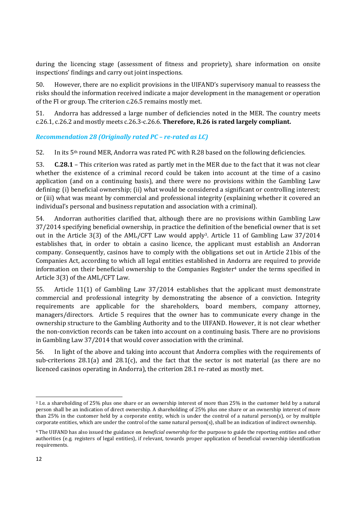during the licencing stage (assessment of fitness and propriety), share information on onsite inspections' findings and carry out joint inspections.

50. However, there are no explicit provisions in the UIFAND's supervisory manual to reassess the risks should the information received indicate a major development in the management or operation of the FI or group. The criterion c.26.5 remains mostly met.

51. Andorra has addressed a large number of deficiencies noted in the MER. The country meets c.26.1, c.26.2 and mostly meets c.26.3-c.26.6. **Therefore, R.26 is rated largely compliant.**

*Recommendation 28 (Originally rated PC – re-rated as LC)*

52. In its  $5<sup>th</sup>$  round MER, Andorra was rated PC with R.28 based on the following deficiencies.

53. **C.28.1** – This criterion was rated as partly met in the MER due to the fact that it was not clear whether the existence of a criminal record could be taken into account at the time of a casino application (and on a continuing basis), and there were no provisions within the Gambling Law defining: (i) beneficial ownership; (ii) what would be considered a significant or controlling interest; or (iii) what was meant by commercial and professional integrity (explaining whether it covered an individual's personal and business reputation and association with a criminal).

54. Andorran authorities clarified that, although there are no provisions within Gambling Law 37/2014 specifying beneficial ownership, in practice the definition of the beneficial owner that is set out in the Article 3(3) of the AML/CFT Law would apply3. Article 11 of Gambling Law 37/2014 establishes that, in order to obtain a casino licence, the applicant must establish an Andorran company. Consequently, casinos have to comply with the obligations set out in Article 21bis of the Companies Act, according to which all legal entities established in Andorra are required to provide information on their beneficial ownership to the Companies Register<sup>4</sup> under the terms specified in Article 3(3) of the AML/CFT Law.

55. Article 11(1) of Gambling Law 37/2014 establishes that the applicant must demonstrate commercial and professional integrity by demonstrating the absence of a conviction. Integrity requirements are applicable for the shareholders, board members, company attorney, managers/directors. Article 5 requires that the owner has to communicate every change in the ownership structure to the Gambling Authority and to the UIFAND. However, it is not clear whether the non-conviction records can be taken into account on a continuing basis. There are no provisions in Gambling Law 37/2014 that would cover association with the criminal.

56. In light of the above and taking into account that Andorra complies with the requirements of sub-criterions  $28.1(a)$  and  $28.1(c)$ , and the fact that the sector is not material (as there are no licenced casinos operating in Andorra), the criterion 28.1 re-rated as mostly met.

<sup>3</sup> I.e. a shareholding of 25% plus one share or an ownership interest of more than 25% in the customer held by a natural person shall be an indication of direct ownership. A shareholding of 25% plus one share or an ownership interest of more than 25% in the customer held by a corporate entity, which is under the control of a natural person(s), or by multiple corporate entities, which are under the control of the same natural person(s), shall be an indication of indirect ownership.

<sup>4</sup> The UIFAND has also issued the guidance on *beneficial ownership* for the purpose to guide the reporting entities and other authorities (e.g. registers of legal entities), if relevant, towards proper application of beneficial ownership identification requirements.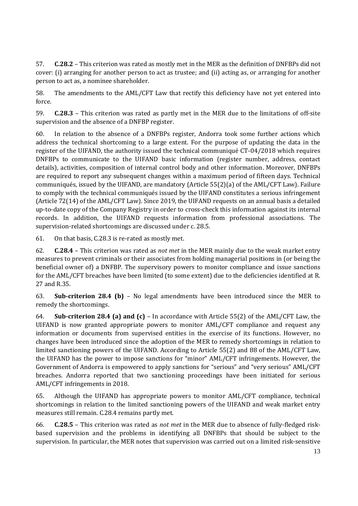57. **C.28.2** – This criterion was rated as mostly met in the MER as the definition of DNFBPs did not cover: (i) arranging for another person to act as trustee; and (ii) acting as, or arranging for another person to act as, a nominee shareholder.

58. The amendments to the AML/CFT Law that rectify this deficiency have not yet entered into force.

59. **C.28.3** – This criterion was rated as partly met in the MER due to the limitations of off-site supervision and the absence of a DNFBP register.

60. In relation to the absence of a DNFBPs register, Andorra took some further actions which address the technical shortcoming to a large extent. For the purpose of updating the data in the register of the UIFAND, the authority issued the technical communiqué CT-04/2018 which requires DNFBPs to communicate to the UIFAND basic information (register number, address, contact details), activities, composition of internal control body and other information. Moreover, DNFBPs are required to report any subsequent changes within a maximum period of fifteen days. Technical communiqués, issued by the UIFAND, are mandatory (Article 55(2)(a) of the AML/CFT Law). Failure to comply with the technical communiqués issued by the UIFAND constitutes a serious infringement (Article 72(14) of the AML/CFT Law). Since 2019, the UIFAND requests on an annual basis a detailed up-to-date copy of the Company Registry in order to cross-check this information against its internal records. In addition, the UIFAND requests information from professional associations. The supervision-related shortcomings are discussed under c. 28.5.

61. On that basis, C.28.3 is re-rated as mostly met.

62. **C.28.4** – This criterion was rated as *not met* in the MER mainly due to the weak market entry measures to prevent criminals or their associates from holding managerial positions in (or being the beneficial owner of) a DNFBP. The supervisory powers to monitor compliance and issue sanctions for the AML/CFT breaches have been limited (to some extent) due to the deficiencies identified at R. 27 and R.35.

63. **Sub-criterion 28.4 (b)** – No legal amendments have been introduced since the MER to remedy the shortcomings.

64. **Sub-criterion 28.4 (a) and (c)** – In accordance with Article 55(2) of the AML/CFT Law, the UIFAND is now granted appropriate powers to monitor AML/CFT compliance and request any information or documents from supervised entities in the exercise of its functions. However, no changes have been introduced since the adoption of the MER to remedy shortcomings in relation to limited sanctioning powers of the UIFAND. According to Article 55(2) and 88 of the AML/CFT Law, the UIFAND has the power to impose sanctions for "minor" AML/CFT infringements. However, the Government of Andorra is empowered to apply sanctions for "serious" and "very serious" AML/CFT breaches. Andorra reported that two sanctioning proceedings have been initiated for serious AML/CFT infringements in 2018.

65. Although the UIFAND has appropriate powers to monitor AML/CFT compliance, technical shortcomings in relation to the limited sanctioning powers of the UIFAND and weak market entry measures still remain. C.28.4 remains partly met.

66. **C.28.5** – This criterion was rated as *not met* in the MER due to absence of fully-fledged riskbased supervision and the problems in identifying all DNFBPs that should be subject to the supervision. In particular, the MER notes that supervision was carried out on a limited risk-sensitive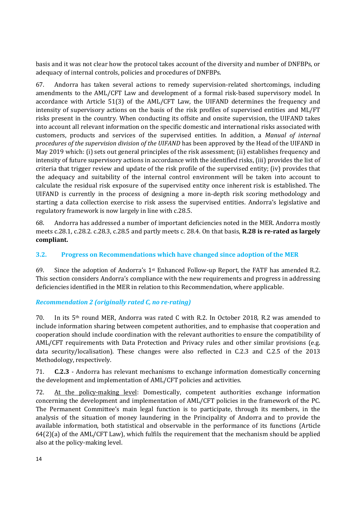basis and it was not clear how the protocol takes account of the diversity and number of DNFBPs, or adequacy of internal controls, policies and procedures of DNFBPs.

67. Andorra has taken several actions to remedy supervision-related shortcomings, including amendments to the AML/CFT Law and development of a formal risk-based supervisory model. In accordance with Article 51(3) of the AML/CFT Law, the UIFAND determines the frequency and intensity of supervisory actions on the basis of the risk profiles of supervised entities and ML/FT risks present in the country. When conducting its offsite and onsite supervision, the UIFAND takes into account all relevant information on the specific domestic and international risks associated with customers, products and services of the supervised entities. In addition, a *Manual of internal procedures of the supervision division of the UIFAND* has been approved by the Head of the UIFAND in May 2019 which: (i) sets out general principles of the risk assessment; (ii) establishes frequency and intensity of future supervisory actions in accordance with the identified risks, (iii) provides the list of criteria that trigger review and update of the risk profile of the supervised entity; (iv) provides that the adequacy and suitability of the internal control environment will be taken into account to calculate the residual risk exposure of the supervised entity once inherent risk is established. The UIFAND is currently in the process of designing a more in-depth risk scoring methodology and starting a data collection exercise to risk assess the supervised entities. Andorra's legislative and regulatory framework is now largely in line with c.28.5.

68. Andorra has addressed a number of important deficiencies noted in the MER. Andorra mostly meets c.28.1, c.28.2. c.28.3, c.28.5 and partly meets c. 28.4. On that basis, **R.28 is re-rated as largely compliant.**

## **3.2. Progress on Recommendations which have changed since adoption of the MER**

69. Since the adoption of Andorra's  $1^{st}$  Enhanced Follow-up Report, the FATF has amended R.2. This section considers Andorra's compliance with the new requirements and progress in addressing deficiencies identified in the MER in relation to this Recommendation, where applicable.

## *Recommendation 2 (originally rated C, no re-rating)*

70. In its  $5<sup>th</sup>$  round MER, Andorra was rated C with R.2. In October 2018, R.2 was amended to include information sharing between competent authorities, and to emphasise that cooperation and cooperation should include coordination with the relevant authorities to ensure the compatibility of AML/CFT requirements with Data Protection and Privacy rules and other similar provisions (e.g. data security/localisation). These changes were also reflected in C.2.3 and C.2.5 of the 2013 Methodology, respectively.

71. **C.2.3** - Andorra has relevant mechanisms to exchange information domestically concerning the development and implementation of AML/CFT policies and activities.

72. At the policy-making level: Domestically, competent authorities exchange information concerning the development and implementation of AML/CFT policies in the framework of the PC. The Permanent Committee's main legal function is to participate, through its members, in the analysis of the situation of money laundering in the Principality of Andorra and to provide the available information, both statistical and observable in the performance of its functions (Article 64(2)(a) of the AML/CFT Law), which fulfils the requirement that the mechanism should be applied also at the policy-making level.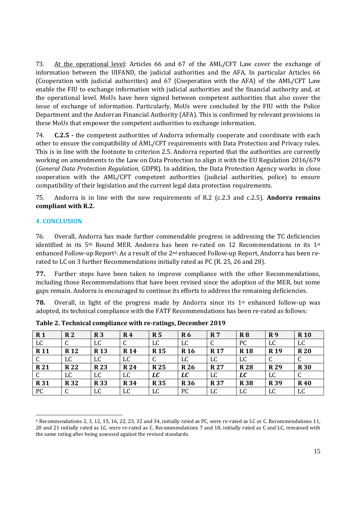73. At the operational level: Articles 66 and 67 of the AML/CFT Law cover the exchange of information between the UIFAND, the judicial authorities and the AFA. In particular Articles 66 (Cooperation with judicial authorities) and 67 (Cooperation with the AFA) of the AML/CFT Law enable the FIU to exchange information with judicial authorities and the financial authority and, at the operational level. MoUs have been signed between competent authorities that also cover the issue of exchange of information. Particularly, MoUs were concluded by the FIU with the Police Department and the Andorran Financial Authority (AFA). This is confirmed by relevant provisions in these MoUs that empower the competent authorities to exchange information.

74. **C.2.5 -** the competent authorities of Andorra informally cooperate and coordinate with each other to ensure the compatibility of AML/CFT requirements with Data Protection and Privacy rules. This is in line with the footnote to criterion 2.5. Andorra reported that the authorities are currently working on amendments to the Law on Data Protection to align it with the EU Regulation 2016/679 (*General Data Protection Regulation,* GDPR). In addition, the Data Protection Agency works in close cooperation with the AML/CFT competent authorities (judicial authorities, police) to ensure compatibility of their legislation and the current legal data protection requirements.

75. Andorra is in line with the new requirements of R.2 (c.2.3 and c.2.5). **Andorra remains compliant with R.2.** 

#### **4. CONCLUSION**

76. Overall, Andorra has made further commendable progress in addressing the TC deficiencies identified in its  $5<sup>th</sup>$  Round MER. Andorra has been re-rated on 12 Recommendations in its  $1<sup>st</sup>$ enhanced Follow-up Report5. As a result of the 2nd enhanced Follow-up Report, Andorra has been rerated to LC on 3 further Recommendations initially rated as PC (R. 25, 26 and 28).

**77.** Further steps have been taken to improve compliance with the other Recommendations, including those Recommendations that have been revised since the adoption of the MER, but some gaps remain. Andorra is encouraged to continue its efforts to address the remaining deficiencies.

**78.** Overall, in light of the progress made by Andorra since its 1<sup>st</sup> enhanced follow-up was adopted, its technical compliance with the FATF Recommendations has been re-rated as follows:

| R <sub>1</sub> | R <sub>2</sub> | R <sub>3</sub>  | R <sub>4</sub> | R <sub>5</sub> | <b>R6</b>   | R <sub>7</sub> | R8         | <b>R9</b>  | <b>R10</b> |
|----------------|----------------|-----------------|----------------|----------------|-------------|----------------|------------|------------|------------|
| LC             | U              | LC              | C              | LC             | LC          | ◡              | PC         | LC         | LC         |
| <b>R11</b>     | <b>R12</b>     | R <sub>13</sub> | <b>R</b> 14    | <b>R15</b>     | <b>R</b> 16 | <b>R17</b>     | <b>R18</b> | <b>R19</b> | <b>R20</b> |
| C              | LC             | LC              | LC             | u              | LC          | LC             | LC         |            | ◡          |
| <b>R21</b>     | <b>R22</b>     | <b>R23</b>      | <b>R24</b>     | <b>R25</b>     | <b>R26</b>  | <b>R27</b>     | <b>R28</b> | <b>R29</b> | <b>R30</b> |
| $\mathsf{C}$   | LC             | LC              | LC             | LC             | LC          | LC             | LC         | LC         | ◡          |
| <b>R31</b>     | <b>R32</b>     | <b>R33</b>      | <b>R34</b>     | <b>R35</b>     | <b>R36</b>  | <b>R37</b>     | <b>R38</b> | <b>R39</b> | <b>R40</b> |
| <b>PC</b>      | r<br>U         | LC              | LC             | LC             | PC          | LC             | LC         | LC         | LC         |

**Table 2. Technical compliance with re-ratings, December 2019**

<sup>5</sup> Recommendations 2, 3, 12, 15, 16, 22, 23, 32 and 34, initially rated as PC, were re-rated as LC or C. Recommendations 11, 20 and 21 initially rated as LC, were re-rated as C. Recommendations 7 and 18, initially rated as C and LC, remained with the same rating after being assessed against the revised standards.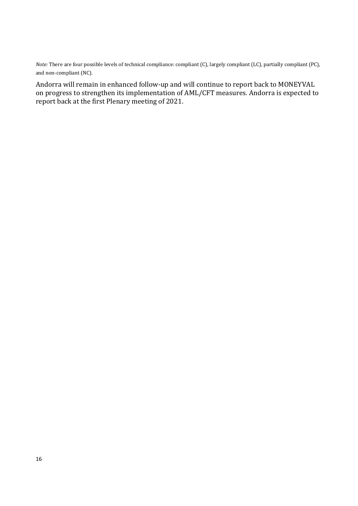*Note:* There are four possible levels of technical compliance: compliant (C), largely compliant (LC), partially compliant (PC), and non-compliant (NC).

Andorra will remain in enhanced follow-up and will continue to report back to MONEYVAL on progress to strengthen its implementation of AML/CFT measures. Andorra is expected to report back at the first Plenary meeting of 2021.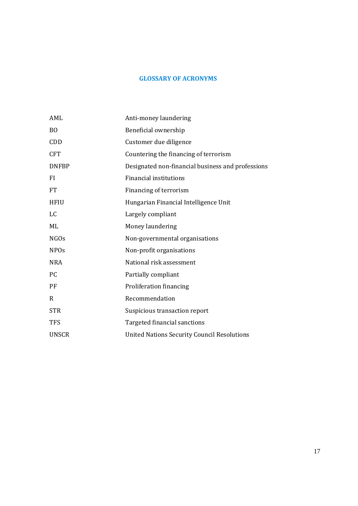## **GLOSSARY OF ACRONYMS**

| AML              | Anti-money laundering                              |
|------------------|----------------------------------------------------|
| <sub>BO</sub>    | Beneficial ownership                               |
| CDD              | Customer due diligence                             |
| <b>CFT</b>       | Countering the financing of terrorism              |
| <b>DNFBP</b>     | Designated non-financial business and professions  |
| FI               | <b>Financial institutions</b>                      |
| <b>FT</b>        | Financing of terrorism                             |
| <b>HFIU</b>      | Hungarian Financial Intelligence Unit              |
| LC               | Largely compliant                                  |
| ML               | Money laundering                                   |
| NGO <sub>s</sub> | Non-governmental organisations                     |
| <b>NPOs</b>      | Non-profit organisations                           |
| <b>NRA</b>       | National risk assessment                           |
| <b>PC</b>        | Partially compliant                                |
| PF               | Proliferation financing                            |
| R                | Recommendation                                     |
| <b>STR</b>       | Suspicious transaction report                      |
| <b>TFS</b>       | Targeted financial sanctions                       |
| <b>UNSCR</b>     | <b>United Nations Security Council Resolutions</b> |